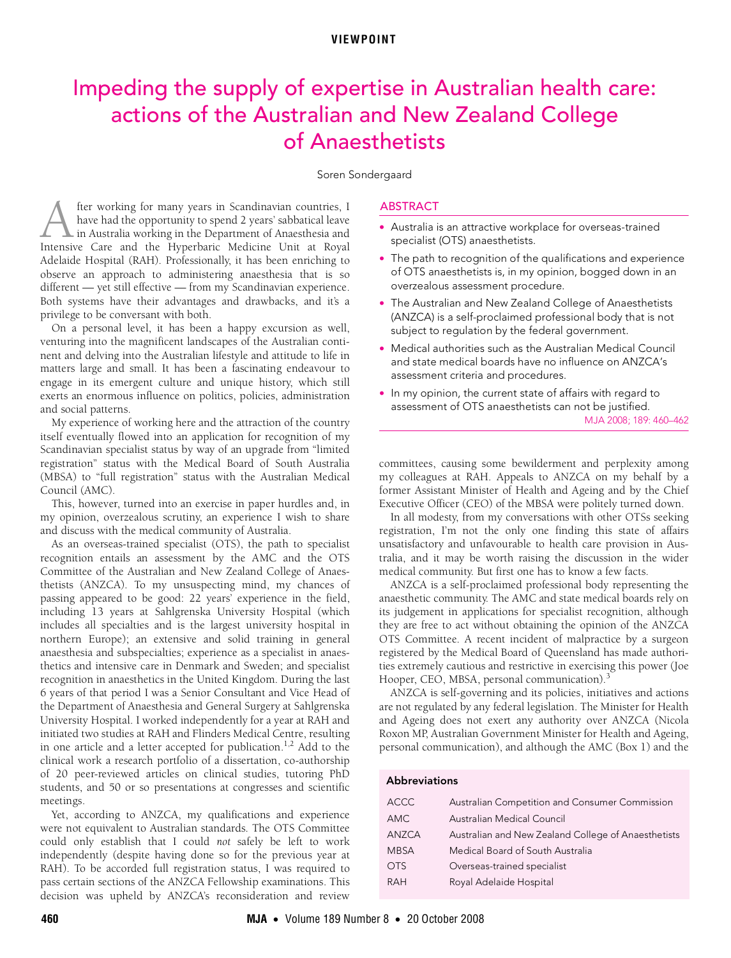# **VIEWPOINT**

# <span id="page-0-0"></span>Impeding the supply of expertise in Australian health care: actions of the Australian and New Zealand College of Anaesthetists

#### Soren Sondergaard

observe an approach to auministering anaestnesia that is so<br>different — yet still effective — fr[om](#page-0-0) [my S](#page-2-3)candinavian experience.  $\frac{200}{100}$  yet sun enective  $\frac{200}{100}$  nom my. Both systems have their advantages and drawbacks, and it's a privilege to be conversant with both. fter working for many years in Scandinavian countries, I have had the opportunity to spend 2 years' sabbatical leave in Australia working in the Department of Anaesthesia and **Inter working for many years in Scandinavian countries, I have had the opportunity to spend 2 years' sabbatical leave in Australia working in the Department of Anaesthesia and Intensive Care and the Hyperbaric Medicine Un** Adelaide Hospital (RAH). Professionally, it has been enriching to observe an approach to administering anaesthesia that is so

On a personal level, it has been a happy excursion as well, venturing into the magnificent landscapes of the Australian continent and delving into the Australian lifestyle and attitude to life in matters large and small. It has been a fascinating endeavour to engage in its emergent culture and unique history, which still exerts an enormous influence on politics, policies, administration and social patterns.

My experience of working here and the attraction of the country itself eventually flowed into an application for recognition of my Scandinavian specialist status by way of an upgrade from "limited registration" status with the Medical Board of South Australia (MBSA) to "full registration" status with the Australian Medical Council (AMC).

This, however, turned into an exercise in paper hurdles and, in my opinion, overzealous scrutiny, an experience I wish to share and discuss with the medical community of Australia.

As an overseas-trained specialist (OTS), the path to specialist recognition entails an assessment by the AMC and the OTS Committee of the Australian and New Zealand College of Anaesthetists (ANZCA). To my unsuspecting mind, my chances of passing appeared to be good: 22 years' experience in the field, including 13 years at Sahlgrenska University Hospital (which includes all specialties and is the largest university hospital in northern Europe); an extensive and solid training in general anaesthesia and subspecialties; experience as a specialist in anaesthetics and intensive care in Denmark and Sweden; and specialist recognition in anaesthetics in the United Kingdom. During the last 6 years of that period I was a Senior Consultant and Vice Head of the Department of Anaesthesia and General Surgery at Sahlgrenska University Hospital. I worked independently for a year at RAH and initiated two studies at RAH and Flinders Medical Centre, resulting in one article and a letter accepted for publication.<sup>1,2</sup> Add to the clinical work a research portfolio of a dissertation, co-authorship of 20 peer-reviewed articles on clinical studies, tutoring PhD students, and 50 or so presentations at congresses and scientific meetings.

Yet, according to ANZCA, my qualifications and experience were not equivalent to Australian standards. The OTS Committee could only establish that I could *not* safely be left to work independently (despite having done so for the previous year at RAH). To be accorded full registration status, I was required to pass certain sections of the ANZCA Fellowship examinations. This decision was upheld by ANZCA's reconsideration and review

#### ABSTRACT

- Australia is an attractive workplace for overseas-trained specialist (OTS) anaesthetists.
- The path to recognition of the qualifications and experience of OTS anaesthetists is, in my opinion, bogged down in an overzealous assessment procedure.
- The Australian and New Zealand College of Anaesthetists (ANZCA) is a self-proclaimed professional body that is not subject to regulation by the federal government.
- Medical authorities such as the Australian Medical Council and state medical boards have no influence on ANZCA's assessment criteria and procedures.
- In my opinion, the current state of affairs with regard to MJA 2008; 189: 460–462 assessment of OTS anaesthetists can not be justified.

committees, causing some bewilderment and perplexity among my colleagues at RAH. Appeals to ANZCA on my behalf by a former Assistant Minister of Health and Ageing and by the Chief Executive Officer (CEO) of the MBSA were politely turned down.

In all modesty, from my conversations with other OTSs seeking registration, I'm not the only one finding this state of affairs unsatisfactory and unfavourable to health care provision in Australia, and it may be worth raising the discussion in the wider medical community. But first one has to know a few facts.

ANZCA is a self-proclaimed professional body representing the anaesthetic community. The AMC and state medical boards rely on its judgement in applications for specialist recognition, although they are free to act without obtaining the opinion of the ANZCA OTS Committee. A recent incident of malpractice by a surgeon registered by the Medical Board of Queensland has made authorities extremely cautious and restrictive in exercising this power (Joe Hooper, CEO, MBSA, personal communication).<sup>[3](#page-2-2)</sup>

ANZCA is self-governing and its policies, initiatives and actions are not regulated by any federal legislation. The Minister for Health and Ageing does not exert any authority over ANZCA (Nicola Roxon MP, Australian Government Minister for Health and Ageing, personal communication), and although the AMC ([Box 1\)](#page-1-0) and the

# Abbreviations

| <b>ACCC</b>  | Australian Competition and Consumer Commission      |
|--------------|-----------------------------------------------------|
| <b>AMC</b>   | Australian Medical Council                          |
| <b>ANZCA</b> | Australian and New Zealand College of Anaesthetists |
| <b>MBSA</b>  | Medical Board of South Australia                    |
| <b>OTS</b>   | Overseas-trained specialist                         |
| <b>RAH</b>   | Royal Adelaide Hospital                             |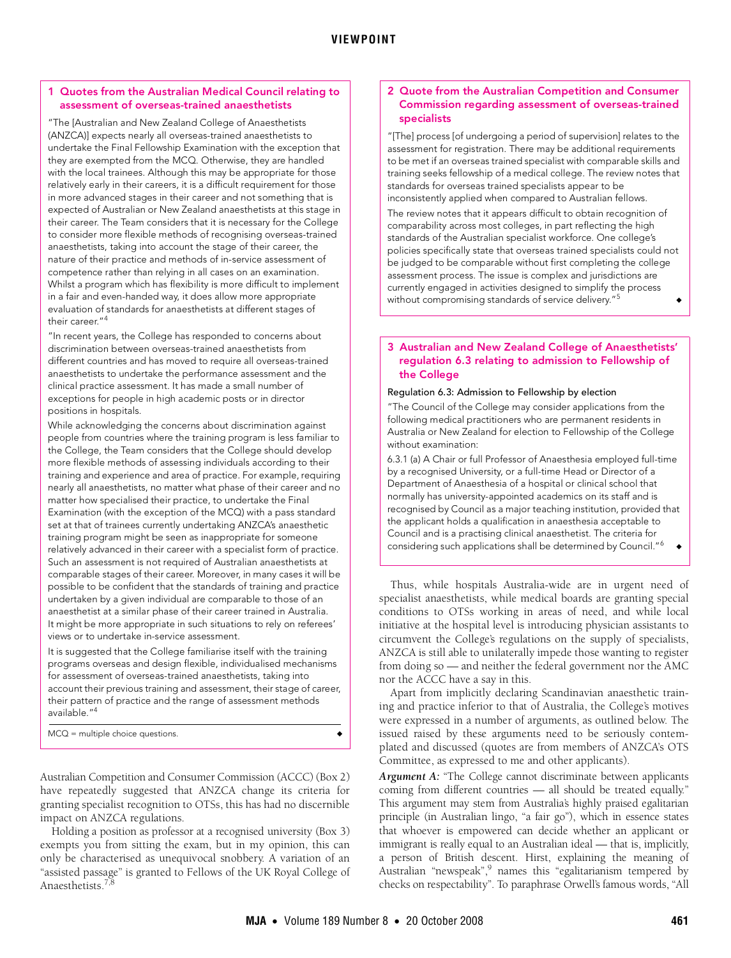### <span id="page-1-0"></span>1 Quotes from the Australian Medical Council relating to assessment of overseas-trained anaesthetists

"The [Australian and New Zealand College of Anaesthetists (ANZCA)] expects nearly all overseas-trained anaesthetists to undertake the Final Fellowship Examination with the exception that they are exempted from the MCQ. Otherwise, they are handled with the local trainees. Although this may be appropriate for those relatively early in their careers, it is a difficult requirement for those in more advanced stages in their career and not something that is expected of Australian or New Zealand anaesthetists at this stage in their career. The Team considers that it is necessary for the College to consider more flexible methods of recognising overseas-trained anaesthetists, taking into account the stage of their career, the nature of their practice and methods of in-service assessment of competence rather than relying in all cases on an examination. Whilst a program which has flexibility is more difficult to implement in a fair and even-handed way, it does allow more appropriate evaluation of standards for anaesthetists at different stages of their career."<sup>4</sup>

"In recent years, the College has responded to concerns about discrimination between overseas-trained anaesthetists from different countries and has moved to require all overseas-trained anaesthetists to undertake the performance assessment and the clinical practice assessment. It has made a small number of exceptions for people in high academic posts or in director positions in hospitals.

While acknowledging the concerns about discrimination against people from countries where the training program is less familiar to the College, the Team considers that the College should develop more flexible methods of assessing individuals according to their training and experience and area of practice. For example, requiring nearly all anaesthetists, no matter what phase of their career and no matter how specialised their practice, to undertake the Final Examination (with the exception of the MCQ) with a pass standard set at that of trainees currently undertaking ANZCA's anaesthetic training program might be seen as inappropriate for someone relatively advanced in their career with a specialist form of practice. Such an assessment is not required of Australian anaesthetists at comparable stages of their career. Moreover, in many cases it will be possible to be confident that the standards of training and practice undertaken by a given individual are comparable to those of an anaesthetist at a similar phase of their career trained in Australia. It might be more appropriate in such situations to rely on referees' views or to undertake in-service assessment.

It is suggested that the College familiarise itself with the training programs overseas and design flexible, individualised mechanisms for assessment of overseas-trained anaesthetists, taking into account their previous training and assessment, their stage of career, their pattern of practice and the range of assessment methods available."[4](#page-2-4)

 $MCO =$  multiple choice questions.

Australian Competition and Consumer Commission (ACCC) [\(Box 2](#page-1-1)) have repeatedly suggested that ANZCA change its criteria for granting specialist recognition to OTSs, this has had no discernible impact on ANZCA regulations.

Holding a position as professor at a recognised university [\(Box 3\)](#page-1-2) exempts you from sitting the exam, but in my opinion, this can only be characterised as unequivocal snobbery. A variation of an "assisted passage" is granted to Fellows of the UK Royal College of Anaesthetists.<sup>[7](#page-2-5)</sup>

#### <span id="page-1-1"></span>2 Quote from the Australian Competition and Consumer Commission regarding assessment of overseas-trained specialists

"[The] process [of undergoing a period of supervision] relates to the assessment for registration. There may be additional requirements to be met if an overseas trained specialist with comparable skills and training seeks fellowship of a medical college. The review notes that standards for overseas trained specialists appear to be inconsistently applied when compared to Australian fellows.

The review notes that it appears difficult to obtain recognition of comparability across most colleges, in part reflecting the high standards of the Australian specialist workforce. One college's policies specifically state that overseas trained specialists could not be judged to be comparable without first completing the college assessment process. The issue is complex and jurisdictions are currently engaged in activities designed to simplify the process without compromising standards of service delivery."

# <span id="page-1-2"></span>3 Australian and New Zealand College of Anaesthetists' regulation 6.3 relating to admission to Fellowship of the College

#### Regulation 6.3: Admission to Fellowship by election

"The Council of the College may consider applications from the following medical practitioners who are permanent residents in Australia or New Zealand for election to Fellowship of the College without examination:

6.3.1 (a) A Chair or full Professor of Anaesthesia employed full-time by a recognised University, or a full-time Head or Director of a Department of Anaesthesia of a hospital or clinical school that normally has university-appointed academics on its staff and is recognised by Council as a major teaching institution, provided that the applicant holds a qualification in anaesthesia acceptable to Council and is a practising clinical anaesthetist. The criteria for considering such applications shall be determined by Council."<sup>[6](#page-2-8)</sup>

Thus, while hospitals Australia-wide are in urgent need of specialist anaesthetists, while medical boards are granting special conditions to OTSs working in areas of need, and while local initiative at the hospital level is introducing physician assistants to circumvent the College's regulations on the supply of specialists, ANZCA is still able to unilaterally impede those wanting to register from doing so — and neither the federal government nor the AMC nor the ACCC have a say in this.

Apart from implicitly declaring Scandinavian anaesthetic training and practice inferior to that of Australia, the College's motives were expressed in a number of arguments, as outlined below. The issued raised by these arguments need to be seriously contemplated and discussed (quotes are from members of ANZCA's OTS Committee, as expressed to me and other applicants).

*Argument A:* "The College cannot discriminate between applicants coming from different countries — all should be treated equally." This argument may stem from Australia's highly praised egalitarian principle (in Australian lingo, "a fair go"), which in essence states that whoever is empowered can decide whether an applicant or immigrant is really equal to an Australian ideal — that is, implicitly, a person of British descent. Hirst, explaining the meaning of Australian "newspeak", names this "egalitarianism tempered by checks on respectability". To paraphrase Orwell's famous words, "All